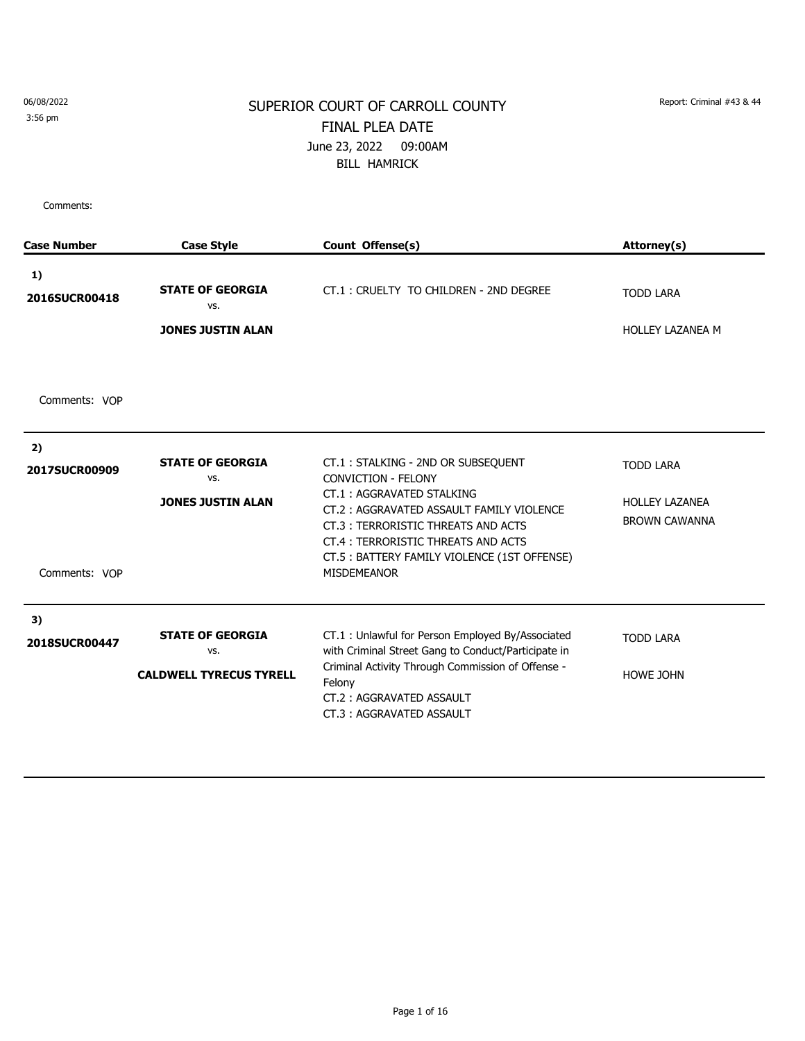3:56 pm

#### SUPERIOR COURT OF CARROLL COUNTY Report: Criminal #43 & 44 FINAL PLEA DATE June 23, 2022 09:00AM BILL HAMRICK

| <b>Case Number</b>                   | <b>Case Style</b>                                                | Count Offense(s)                                                                                                                                                                                                                                                                                   | Attorney(s)                                                       |
|--------------------------------------|------------------------------------------------------------------|----------------------------------------------------------------------------------------------------------------------------------------------------------------------------------------------------------------------------------------------------------------------------------------------------|-------------------------------------------------------------------|
| 1)<br>2016SUCR00418                  | <b>STATE OF GEORGIA</b><br>VS.<br><b>JONES JUSTIN ALAN</b>       | CT.1: CRUELTY TO CHILDREN - 2ND DEGREE                                                                                                                                                                                                                                                             | <b>TODD LARA</b><br><b>HOLLEY LAZANEA M</b>                       |
| Comments: VOP                        |                                                                  |                                                                                                                                                                                                                                                                                                    |                                                                   |
| 2)<br>2017SUCR00909<br>Comments: VOP | <b>STATE OF GEORGIA</b><br>VS.<br><b>JONES JUSTIN ALAN</b>       | CT.1: STALKING - 2ND OR SUBSEQUENT<br><b>CONVICTION - FELONY</b><br>CT.1: AGGRAVATED STALKING<br>CT.2: AGGRAVATED ASSAULT FAMILY VIOLENCE<br>CT.3: TERRORISTIC THREATS AND ACTS<br><b>CT.4 : TERRORISTIC THREATS AND ACTS</b><br>CT.5: BATTERY FAMILY VIOLENCE (1ST OFFENSE)<br><b>MISDEMEANOR</b> | <b>TODD LARA</b><br><b>HOLLEY LAZANEA</b><br><b>BROWN CAWANNA</b> |
| 3)<br>2018SUCR00447                  | <b>STATE OF GEORGIA</b><br>VS.<br><b>CALDWELL TYRECUS TYRELL</b> | CT.1: Unlawful for Person Employed By/Associated<br>with Criminal Street Gang to Conduct/Participate in<br>Criminal Activity Through Commission of Offense -<br>Felony<br>CT.2: AGGRAVATED ASSAULT<br>CT.3: AGGRAVATED ASSAULT                                                                     | <b>TODD LARA</b><br>HOWE JOHN                                     |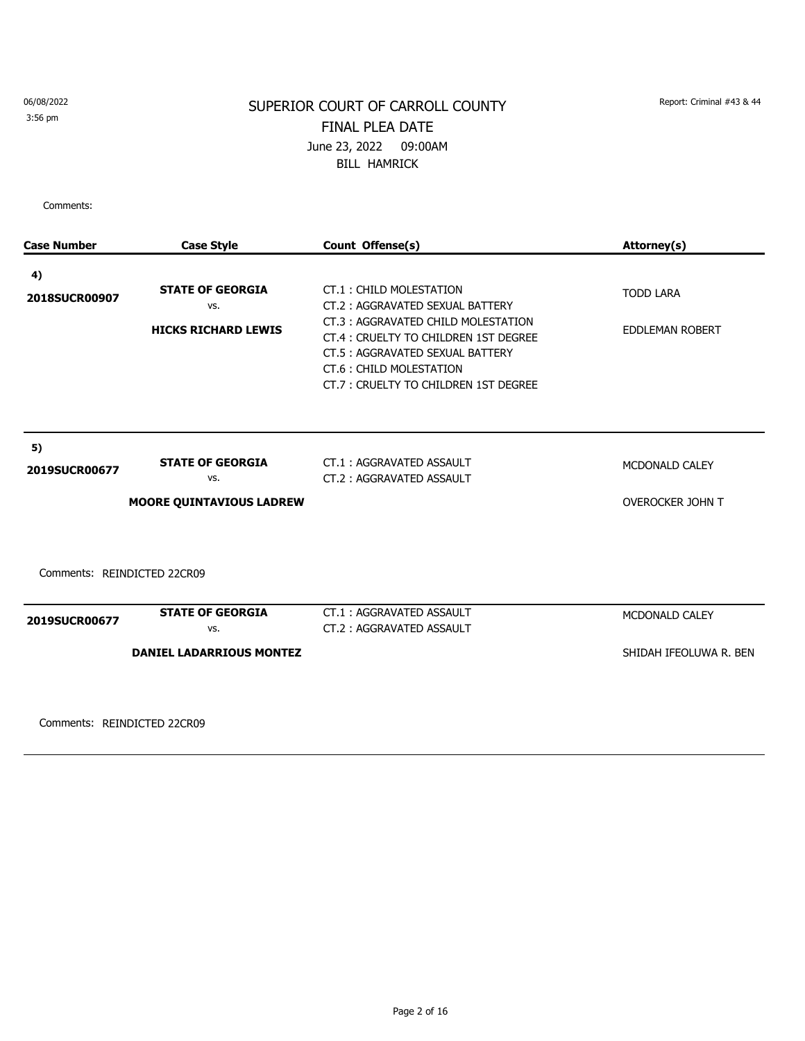#### SUPERIOR COURT OF CARROLL COUNTY Report: Criminal #43 & 44 FINAL PLEA DATE June 23, 2022 09:00AM BILL HAMRICK

Comments:

| <b>Case Number</b>          | <b>Case Style</b>               | Count Offense(s)                                                                                                                                                                  | Attorney(s)             |
|-----------------------------|---------------------------------|-----------------------------------------------------------------------------------------------------------------------------------------------------------------------------------|-------------------------|
| 4)                          |                                 |                                                                                                                                                                                   |                         |
| 2018SUCR00907               | <b>STATE OF GEORGIA</b><br>VS.  | CT.1: CHILD MOLESTATION<br>CT.2: AGGRAVATED SEXUAL BATTERY                                                                                                                        | <b>TODD LARA</b>        |
|                             | <b>HICKS RICHARD LEWIS</b>      | CT.3: AGGRAVATED CHILD MOLESTATION<br>CT.4 : CRUELTY TO CHILDREN 1ST DEGREE<br>CT.5: AGGRAVATED SEXUAL BATTERY<br>CT.6: CHILD MOLESTATION<br>CT.7: CRUELTY TO CHILDREN 1ST DEGREE | <b>EDDLEMAN ROBERT</b>  |
| 5)                          |                                 |                                                                                                                                                                                   |                         |
| 2019SUCR00677               | <b>STATE OF GEORGIA</b><br>VS.  | CT.1: AGGRAVATED ASSAULT<br>CT.2: AGGRAVATED ASSAULT                                                                                                                              | MCDONALD CALEY          |
|                             | <b>MOORE QUINTAVIOUS LADREW</b> |                                                                                                                                                                                   | <b>OVEROCKER JOHN T</b> |
| Comments: REINDICTED 22CR09 |                                 |                                                                                                                                                                                   |                         |
| 2019SUCR00677               | <b>STATE OF GEORGIA</b><br>VS.  | CT.1: AGGRAVATED ASSAULT<br>CT.2: AGGRAVATED ASSAULT                                                                                                                              | MCDONALD CALEY          |
|                             | <b>DANIEL LADARRIOUS MONTEZ</b> |                                                                                                                                                                                   | SHIDAH IFEOLUWA R. BEN  |

Comments: REINDICTED 22CR09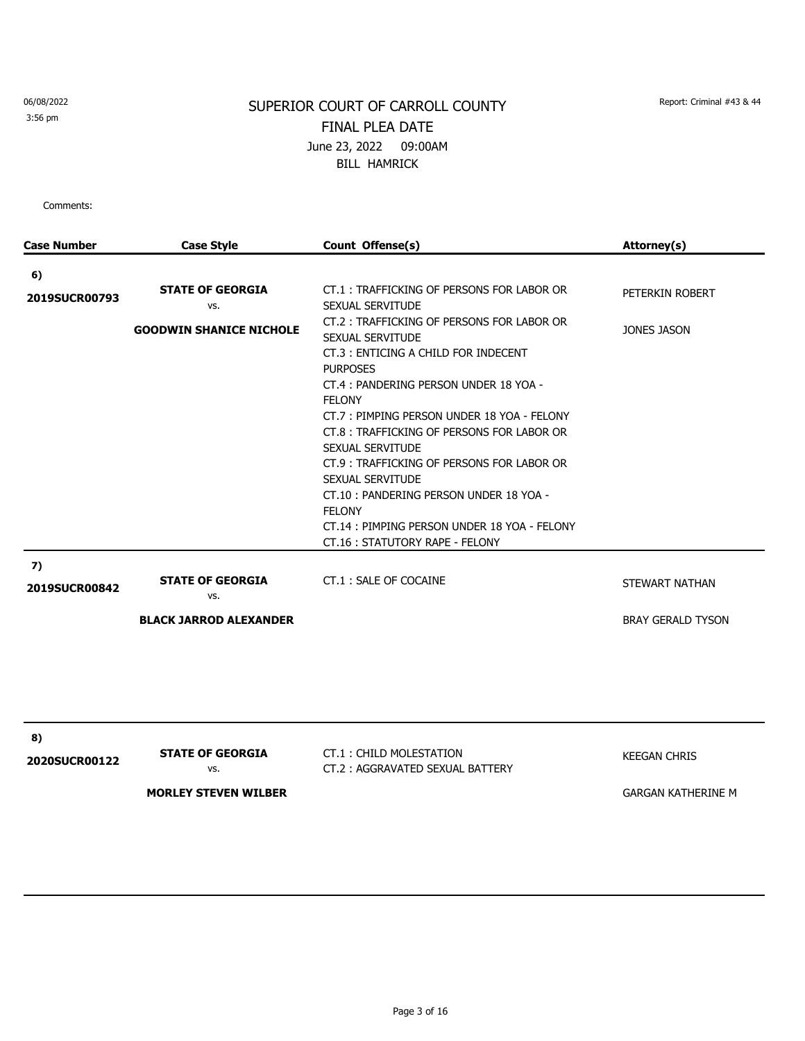3:56 pm

# SUPERIOR COURT OF CARROLL COUNTY Report: Criminal #43 & 44 FINAL PLEA DATE June 23, 2022 09:00AM BILL HAMRICK

| Case Number          | <b>Case Style</b>              | Count Offense(s)                                                                                                                                                                                                                                                                                                                                                                                                                                                                                                | Attorney(s)               |
|----------------------|--------------------------------|-----------------------------------------------------------------------------------------------------------------------------------------------------------------------------------------------------------------------------------------------------------------------------------------------------------------------------------------------------------------------------------------------------------------------------------------------------------------------------------------------------------------|---------------------------|
| 6)                   |                                |                                                                                                                                                                                                                                                                                                                                                                                                                                                                                                                 |                           |
| <b>2019SUCR00793</b> | <b>STATE OF GEORGIA</b><br>VS. | CT.1: TRAFFICKING OF PERSONS FOR LABOR OR<br>SEXUAL SERVITUDE                                                                                                                                                                                                                                                                                                                                                                                                                                                   | PETERKIN ROBERT           |
|                      | <b>GOODWIN SHANICE NICHOLE</b> | CT.2: TRAFFICKING OF PERSONS FOR LABOR OR<br>SEXUAL SERVITUDE<br>CT.3: ENTICING A CHILD FOR INDECENT<br><b>PURPOSES</b><br>CT.4: PANDERING PERSON UNDER 18 YOA -<br><b>FELONY</b><br>CT.7: PIMPING PERSON UNDER 18 YOA - FELONY<br>CT.8 : TRAFFICKING OF PERSONS FOR LABOR OR<br>SEXUAL SERVITUDE<br>CT.9 : TRAFFICKING OF PERSONS FOR LABOR OR<br>SEXUAL SERVITUDE<br>CT.10: PANDERING PERSON UNDER 18 YOA -<br><b>FELONY</b><br>CT.14: PIMPING PERSON UNDER 18 YOA - FELONY<br>CT.16: STATUTORY RAPE - FELONY | JONES JASON               |
| 7)<br>2019SUCR00842  | <b>STATE OF GEORGIA</b><br>VS. | CT.1: SALE OF COCAINE                                                                                                                                                                                                                                                                                                                                                                                                                                                                                           | STEWART NATHAN            |
|                      | <b>BLACK JARROD ALEXANDER</b>  |                                                                                                                                                                                                                                                                                                                                                                                                                                                                                                                 | <b>BRAY GERALD TYSON</b>  |
|                      |                                |                                                                                                                                                                                                                                                                                                                                                                                                                                                                                                                 |                           |
| 8)<br>2020SUCR00122  | <b>STATE OF GEORGIA</b><br>VS. | CT.1: CHILD MOLESTATION<br>CT.2: AGGRAVATED SEXUAL BATTERY                                                                                                                                                                                                                                                                                                                                                                                                                                                      | <b>KEEGAN CHRIS</b>       |
|                      | <b>MORLEY STEVEN WILBER</b>    |                                                                                                                                                                                                                                                                                                                                                                                                                                                                                                                 | <b>GARGAN KATHERINE M</b> |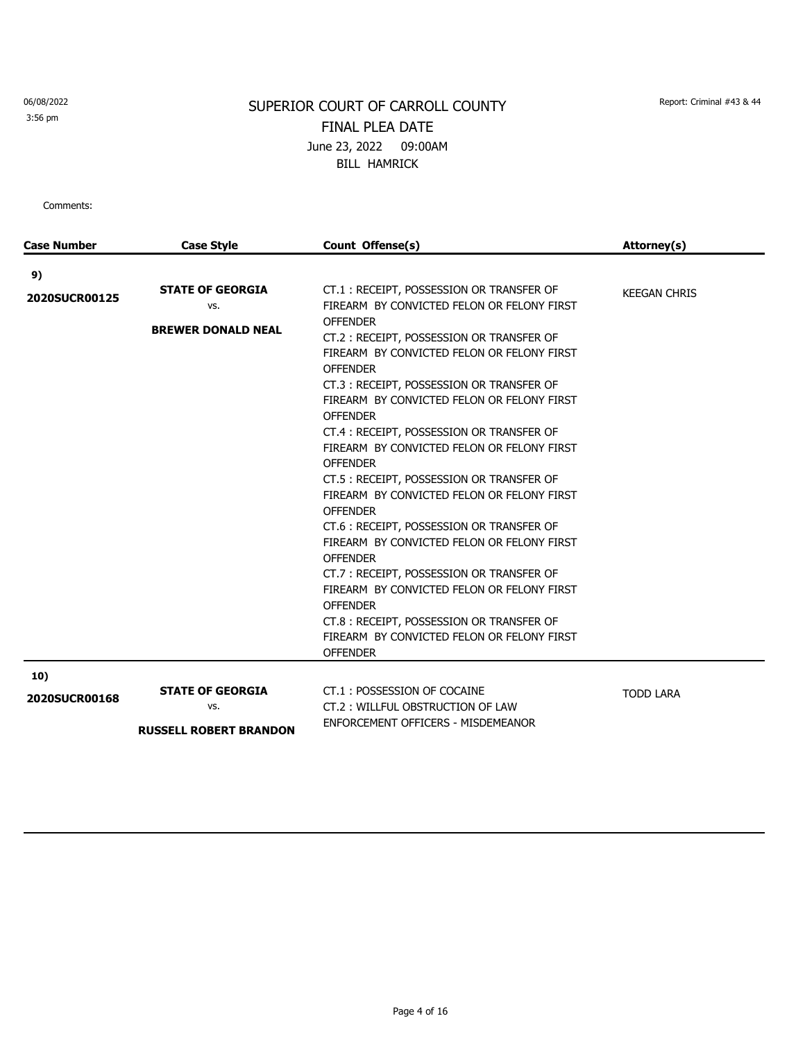3:56 pm

## SUPERIOR COURT OF CARROLL COUNTY Report: Criminal #43 & 44 FINAL PLEA DATE June 23, 2022 09:00AM BILL HAMRICK

| <b>Case Number</b> | <b>Case Style</b>             | Count Offense(s)                           | Attorney(s)         |
|--------------------|-------------------------------|--------------------------------------------|---------------------|
| 9)                 |                               |                                            |                     |
|                    | <b>STATE OF GEORGIA</b>       | CT.1: RECEIPT, POSSESSION OR TRANSFER OF   | <b>KEEGAN CHRIS</b> |
| 2020SUCR00125      | VS.                           | FIREARM BY CONVICTED FELON OR FELONY FIRST |                     |
|                    | <b>BREWER DONALD NEAL</b>     | <b>OFFENDER</b>                            |                     |
|                    |                               | CT.2: RECEIPT, POSSESSION OR TRANSFER OF   |                     |
|                    |                               | FIREARM BY CONVICTED FELON OR FELONY FIRST |                     |
|                    |                               | <b>OFFENDER</b>                            |                     |
|                    |                               | CT.3: RECEIPT, POSSESSION OR TRANSFER OF   |                     |
|                    |                               | FIREARM BY CONVICTED FELON OR FELONY FIRST |                     |
|                    |                               | <b>OFFENDER</b>                            |                     |
|                    |                               | CT.4: RECEIPT, POSSESSION OR TRANSFER OF   |                     |
|                    |                               | FIREARM BY CONVICTED FELON OR FELONY FIRST |                     |
|                    |                               | <b>OFFENDER</b>                            |                     |
|                    |                               | CT.5 : RECEIPT, POSSESSION OR TRANSFER OF  |                     |
|                    |                               | FIREARM BY CONVICTED FELON OR FELONY FIRST |                     |
|                    |                               | <b>OFFENDER</b>                            |                     |
|                    |                               | CT.6 : RECEIPT, POSSESSION OR TRANSFER OF  |                     |
|                    |                               | FIREARM BY CONVICTED FELON OR FELONY FIRST |                     |
|                    |                               | <b>OFFENDER</b>                            |                     |
|                    |                               | CT.7: RECEIPT, POSSESSION OR TRANSFER OF   |                     |
|                    |                               | FIREARM BY CONVICTED FELON OR FELONY FIRST |                     |
|                    |                               | <b>OFFENDER</b>                            |                     |
|                    |                               | CT.8: RECEIPT, POSSESSION OR TRANSFER OF   |                     |
|                    |                               | FIREARM BY CONVICTED FELON OR FELONY FIRST |                     |
|                    |                               | <b>OFFENDER</b>                            |                     |
| 10)                |                               |                                            |                     |
| 2020SUCR00168      | <b>STATE OF GEORGIA</b>       | CT.1: POSSESSION OF COCAINE                | <b>TODD LARA</b>    |
|                    | VS.                           | CT.2: WILLFUL OBSTRUCTION OF LAW           |                     |
|                    | <b>RUSSELL ROBERT BRANDON</b> | ENFORCEMENT OFFICERS - MISDEMEANOR         |                     |
|                    |                               |                                            |                     |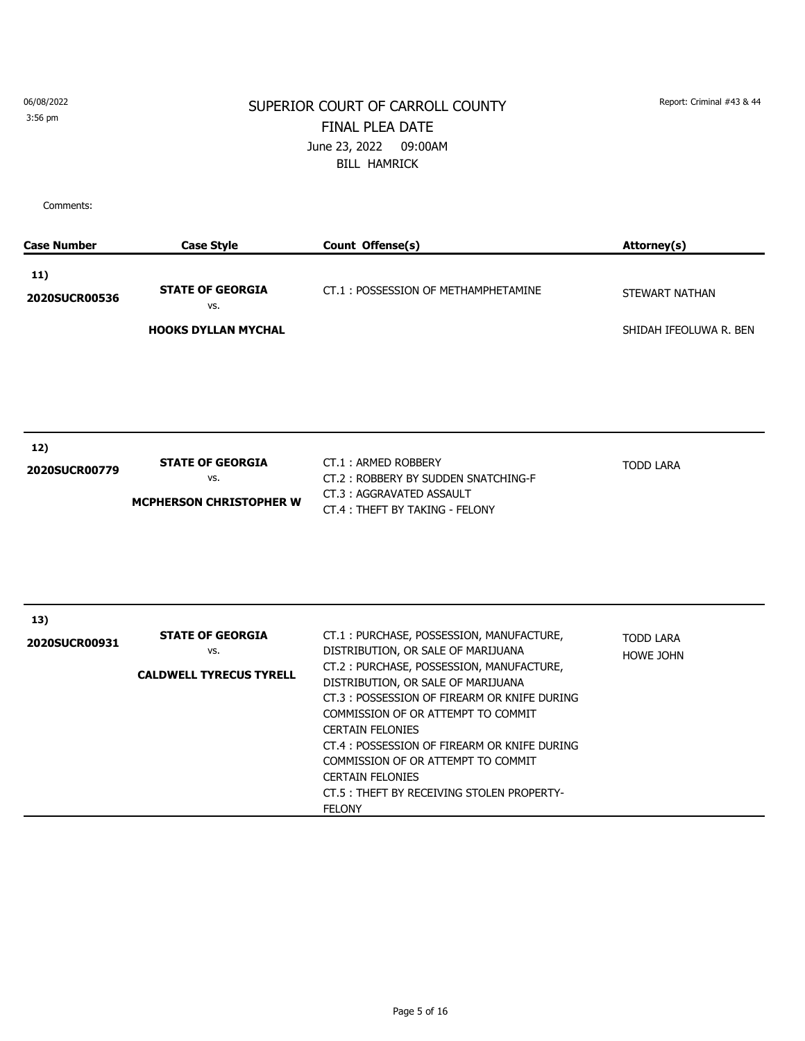3:56 pm

## SUPERIOR COURT OF CARROLL COUNTY Report: Criminal #43 & 44 FINAL PLEA DATE June 23, 2022 09:00AM BILL HAMRICK

| <b>Case Number</b>          | <b>Case Style</b>                                                | Count Offense(s)                                                                                                                                                                                                                                                                                                                                                                                                                                                | Attorney(s)                   |
|-----------------------------|------------------------------------------------------------------|-----------------------------------------------------------------------------------------------------------------------------------------------------------------------------------------------------------------------------------------------------------------------------------------------------------------------------------------------------------------------------------------------------------------------------------------------------------------|-------------------------------|
| 11)<br>2020SUCR00536        | <b>STATE OF GEORGIA</b><br>VS.                                   | CT.1: POSSESSION OF METHAMPHETAMINE                                                                                                                                                                                                                                                                                                                                                                                                                             | STEWART NATHAN                |
|                             | <b>HOOKS DYLLAN MYCHAL</b>                                       |                                                                                                                                                                                                                                                                                                                                                                                                                                                                 | SHIDAH IFEOLUWA R. BEN        |
| 12)<br>2020SUCR00779        | <b>STATE OF GEORGIA</b><br>VS.<br><b>MCPHERSON CHRISTOPHER W</b> | CT.1: ARMED ROBBERY<br>CT.2: ROBBERY BY SUDDEN SNATCHING-F<br>CT.3: AGGRAVATED ASSAULT<br>CT.4: THEFT BY TAKING - FELONY                                                                                                                                                                                                                                                                                                                                        | <b>TODD LARA</b>              |
| 13)<br><b>2020SUCR00931</b> | <b>STATE OF GEORGIA</b><br>VS.<br><b>CALDWELL TYRECUS TYRELL</b> | CT.1: PURCHASE, POSSESSION, MANUFACTURE,<br>DISTRIBUTION, OR SALE OF MARIJUANA<br>CT.2: PURCHASE, POSSESSION, MANUFACTURE,<br>DISTRIBUTION, OR SALE OF MARIJUANA<br>CT.3: POSSESSION OF FIREARM OR KNIFE DURING<br>COMMISSION OF OR ATTEMPT TO COMMIT<br><b>CERTAIN FELONIES</b><br>CT.4: POSSESSION OF FIREARM OR KNIFE DURING<br>COMMISSION OF OR ATTEMPT TO COMMIT<br><b>CERTAIN FELONIES</b><br>CT.5 : THEFT BY RECEIVING STOLEN PROPERTY-<br><b>FELONY</b> | <b>TODD LARA</b><br>HOWE JOHN |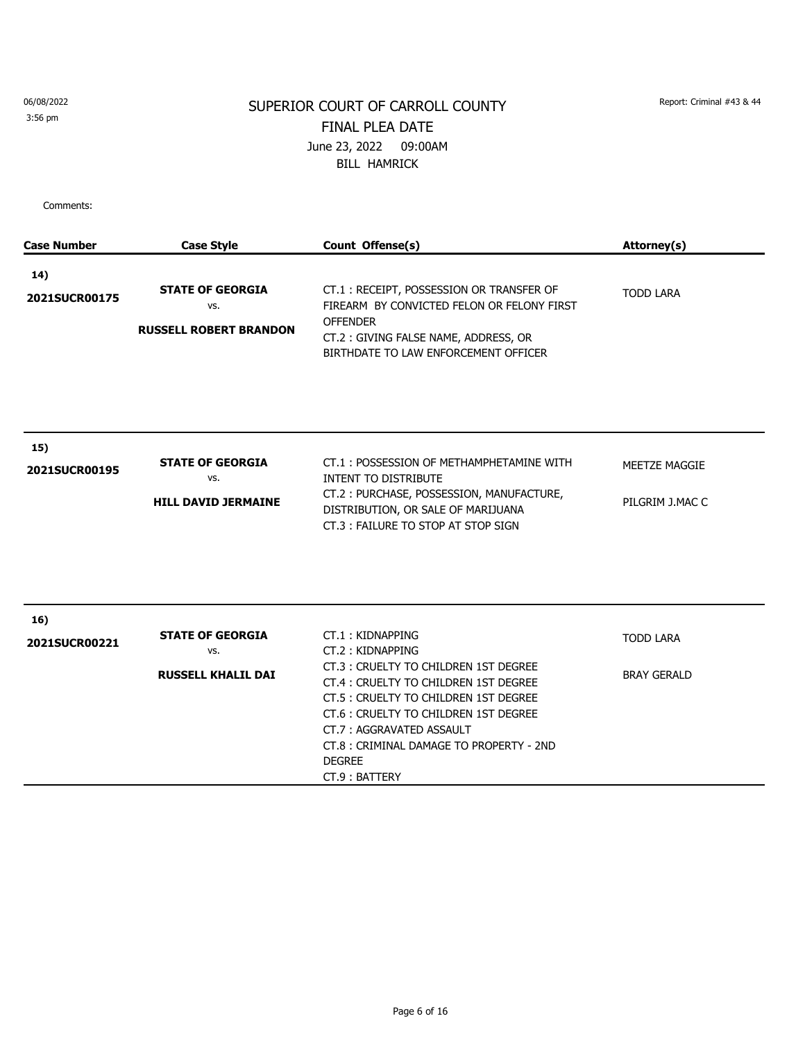3:56 pm

## SUPERIOR COURT OF CARROLL COUNTY Report: Criminal #43 & 44 FINAL PLEA DATE June 23, 2022 09:00AM BILL HAMRICK

| <b>Case Number</b>   | <b>Case Style</b>                                               | Count Offense(s)                                                                                                                                                                                                                                                                                                   | Attorney(s)                            |
|----------------------|-----------------------------------------------------------------|--------------------------------------------------------------------------------------------------------------------------------------------------------------------------------------------------------------------------------------------------------------------------------------------------------------------|----------------------------------------|
| 14)<br>2021SUCR00175 | <b>STATE OF GEORGIA</b><br>VS.<br><b>RUSSELL ROBERT BRANDON</b> | CT.1: RECEIPT, POSSESSION OR TRANSFER OF<br>FIREARM BY CONVICTED FELON OR FELONY FIRST<br><b>OFFENDER</b><br>CT.2: GIVING FALSE NAME, ADDRESS, OR<br>BIRTHDATE TO LAW ENFORCEMENT OFFICER                                                                                                                          | <b>TODD LARA</b>                       |
| 15)<br>2021SUCR00195 | <b>STATE OF GEORGIA</b><br>VS.<br><b>HILL DAVID JERMAINE</b>    | CT.1: POSSESSION OF METHAMPHETAMINE WITH<br><b>INTENT TO DISTRIBUTE</b><br>CT.2: PURCHASE, POSSESSION, MANUFACTURE,<br>DISTRIBUTION, OR SALE OF MARIJUANA<br>CT.3: FAILURE TO STOP AT STOP SIGN                                                                                                                    | MEETZE MAGGIE<br>PILGRIM J.MAC C       |
| 16)<br>2021SUCR00221 | <b>STATE OF GEORGIA</b><br>VS.<br><b>RUSSELL KHALIL DAI</b>     | CT.1: KIDNAPPING<br>CT.2: KIDNAPPING<br>CT.3 : CRUELTY TO CHILDREN 1ST DEGREE<br>CT.4 : CRUELTY TO CHILDREN 1ST DEGREE<br>CT.5 : CRUELTY TO CHILDREN 1ST DEGREE<br>CT.6 : CRUELTY TO CHILDREN 1ST DEGREE<br>CT.7: AGGRAVATED ASSAULT<br>CT.8 : CRIMINAL DAMAGE TO PROPERTY - 2ND<br><b>DEGREE</b><br>CT.9: BATTERY | <b>TODD LARA</b><br><b>BRAY GERALD</b> |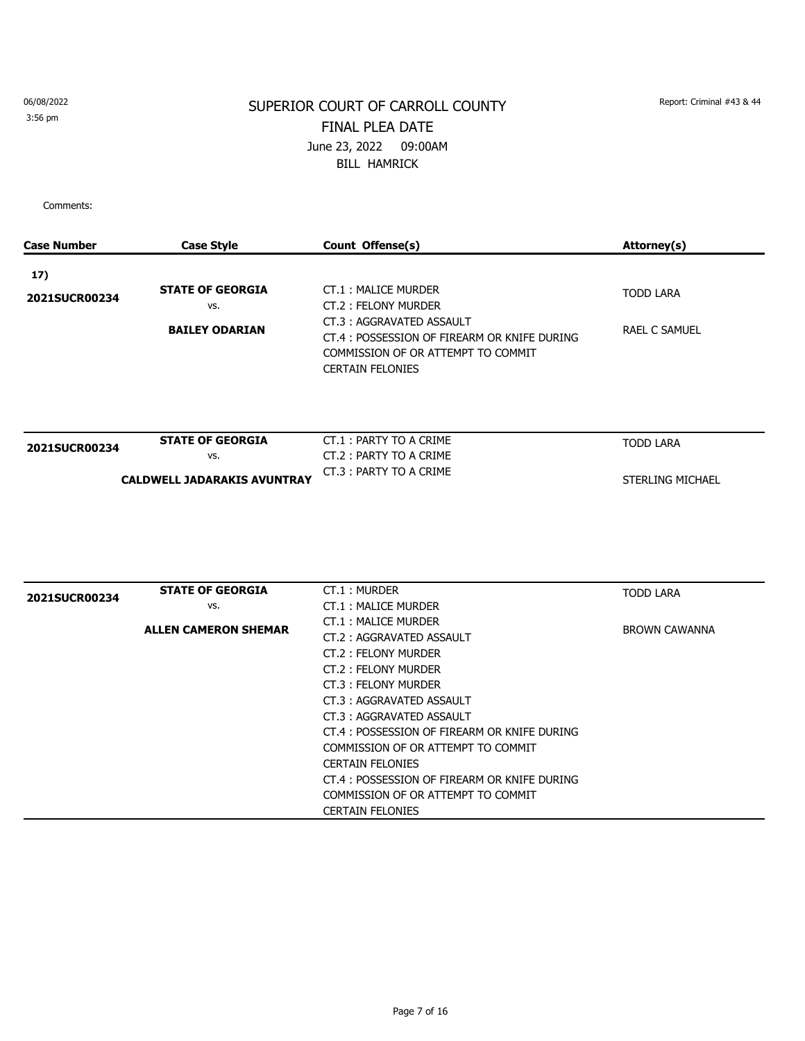#### 3:56 pm

## SUPERIOR COURT OF CARROLL COUNTY Report: Criminal #43 & 44 FINAL PLEA DATE June 23, 2022 09:00AM BILL HAMRICK

Comments:

| <b>Case Number</b> | <b>Case Style</b>                  | Count Offense(s)                             | Attorney(s)             |
|--------------------|------------------------------------|----------------------------------------------|-------------------------|
| 17)                |                                    |                                              |                         |
|                    | <b>STATE OF GEORGIA</b>            | CT.1: MALICE MURDER                          | <b>TODD LARA</b>        |
| 2021SUCR00234      | VS.                                | CT.2: FELONY MURDER                          |                         |
|                    |                                    | CT.3: AGGRAVATED ASSAULT                     |                         |
|                    | <b>BAILEY ODARIAN</b>              | CT.4 : POSSESSION OF FIREARM OR KNIFE DURING | <b>RAEL C SAMUEL</b>    |
|                    |                                    | COMMISSION OF OR ATTEMPT TO COMMIT           |                         |
|                    |                                    | <b>CERTAIN FELONIES</b>                      |                         |
|                    |                                    |                                              |                         |
| 2021SUCR00234      | <b>STATE OF GEORGIA</b>            | CT.1: PARTY TO A CRIME                       | <b>TODD LARA</b>        |
|                    | VS.                                | CT.2: PARTY TO A CRIME                       |                         |
|                    | <b>CALDWELL JADARAKIS AVUNTRAY</b> | CT.3: PARTY TO A CRIME                       | <b>STERLING MICHAEL</b> |
|                    |                                    |                                              |                         |
| 2021SUCR00234      | <b>STATE OF GEORGIA</b>            | CT.1: MURDER                                 | <b>TODD LARA</b>        |
|                    | VS.                                | <b>CT.1: MALICE MURDER</b>                   |                         |
|                    | <b>ALLEN CAMERON SHEMAR</b>        | CT.1: MALICE MURDER                          | <b>BROWN CAWANNA</b>    |
|                    |                                    | CT.2: AGGRAVATED ASSAULT                     |                         |
|                    |                                    | CT.2: FELONY MURDER                          |                         |
|                    |                                    | CT.2: FELONY MURDER                          |                         |
|                    |                                    | CT.3: FELONY MURDER                          |                         |
|                    |                                    | CT.3: AGGRAVATED ASSAULT                     |                         |
|                    |                                    | CT.3: AGGRAVATED ASSAULT                     |                         |
|                    |                                    | CT.4 : POSSESSION OF FIREARM OR KNIFE DURING |                         |
|                    |                                    | COMMISSION OF OR ATTEMPT TO COMMIT           |                         |
|                    |                                    | <b>CERTAIN FELONIES</b>                      |                         |
|                    |                                    | CT.4 : POSSESSION OF FIREARM OR KNIFE DURING |                         |
|                    |                                    | COMMISSION OF OR ATTEMPT TO COMMIT           |                         |

CERTAIN FELONIES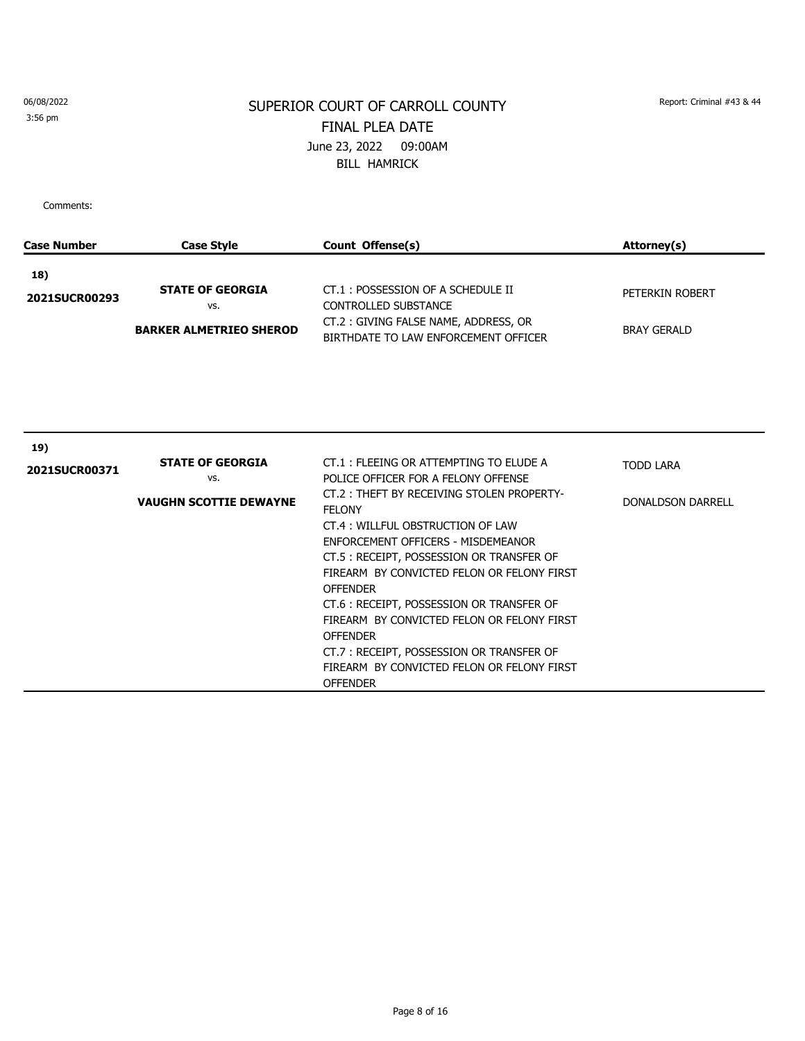3:56 pm

## SUPERIOR COURT OF CARROLL COUNTY Report: Criminal #43 & 44 FINAL PLEA DATE June 23, 2022 09:00AM BILL HAMRICK

| <b>Case Number</b> | <b>Case Style</b>              | Count Offense(s)                                                                                                                                                                                                                                                                                                                                                                                                                                                             | Attorney(s)              |
|--------------------|--------------------------------|------------------------------------------------------------------------------------------------------------------------------------------------------------------------------------------------------------------------------------------------------------------------------------------------------------------------------------------------------------------------------------------------------------------------------------------------------------------------------|--------------------------|
| 18)                |                                |                                                                                                                                                                                                                                                                                                                                                                                                                                                                              |                          |
| 2021SUCR00293      | <b>STATE OF GEORGIA</b><br>VS. | CT.1: POSSESSION OF A SCHEDULE II<br><b>CONTROLLED SUBSTANCE</b>                                                                                                                                                                                                                                                                                                                                                                                                             | PETERKIN ROBERT          |
|                    | <b>BARKER ALMETRIEO SHEROD</b> | CT.2: GIVING FALSE NAME, ADDRESS, OR<br>BIRTHDATE TO LAW ENFORCEMENT OFFICER                                                                                                                                                                                                                                                                                                                                                                                                 | <b>BRAY GERALD</b>       |
|                    |                                |                                                                                                                                                                                                                                                                                                                                                                                                                                                                              |                          |
| 19)                |                                |                                                                                                                                                                                                                                                                                                                                                                                                                                                                              |                          |
| 2021SUCR00371      | <b>STATE OF GEORGIA</b><br>VS. | CT.1: FLEEING OR ATTEMPTING TO ELUDE A<br>POLICE OFFICER FOR A FELONY OFFENSE                                                                                                                                                                                                                                                                                                                                                                                                | <b>TODD LARA</b>         |
|                    | <b>VAUGHN SCOTTIE DEWAYNE</b>  | CT.2: THEFT BY RECEIVING STOLEN PROPERTY-<br><b>FELONY</b><br>CT.4: WILLFUL OBSTRUCTION OF LAW<br>ENFORCEMENT OFFICERS - MISDEMEANOR<br>CT.5: RECEIPT, POSSESSION OR TRANSFER OF<br>FIREARM BY CONVICTED FELON OR FELONY FIRST<br><b>OFFENDER</b><br>CT.6 : RECEIPT, POSSESSION OR TRANSFER OF<br>FIREARM BY CONVICTED FELON OR FELONY FIRST<br><b>OFFENDER</b><br>CT.7: RECEIPT, POSSESSION OR TRANSFER OF<br>FIREARM BY CONVICTED FELON OR FELONY FIRST<br><b>OFFENDER</b> | <b>DONALDSON DARRELL</b> |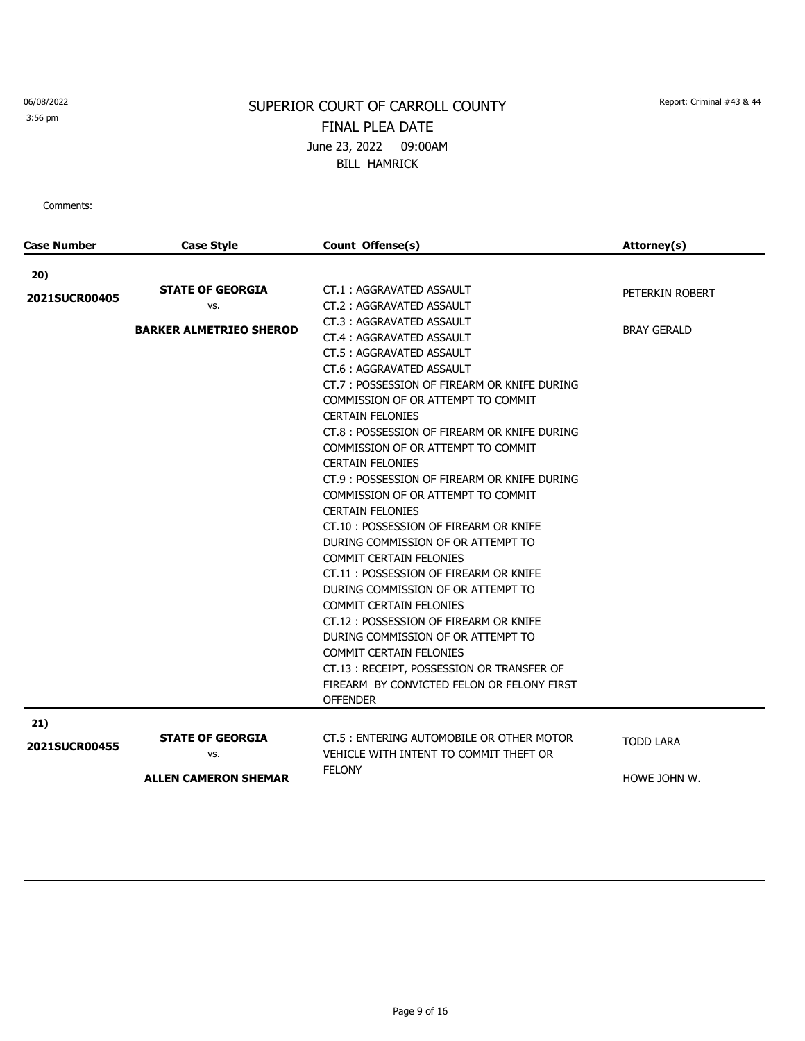3:56 pm

# SUPERIOR COURT OF CARROLL COUNTY Report: Criminal #43 & 44 FINAL PLEA DATE June 23, 2022 09:00AM BILL HAMRICK

| <b>Case Number</b> | <b>Case Style</b>              | Count Offense(s)                             | Attorney(s)        |
|--------------------|--------------------------------|----------------------------------------------|--------------------|
| 20)                |                                |                                              |                    |
|                    | <b>STATE OF GEORGIA</b>        | CT.1: AGGRAVATED ASSAULT                     | PETERKIN ROBERT    |
| 2021SUCR00405      | VS.                            | CT.2: AGGRAVATED ASSAULT                     |                    |
|                    |                                | CT.3: AGGRAVATED ASSAULT                     |                    |
|                    | <b>BARKER ALMETRIEO SHEROD</b> | CT.4: AGGRAVATED ASSAULT                     | <b>BRAY GERALD</b> |
|                    |                                | CT.5: AGGRAVATED ASSAULT                     |                    |
|                    |                                | CT.6: AGGRAVATED ASSAULT                     |                    |
|                    |                                | CT.7: POSSESSION OF FIREARM OR KNIFE DURING  |                    |
|                    |                                | COMMISSION OF OR ATTEMPT TO COMMIT           |                    |
|                    |                                | <b>CERTAIN FELONIES</b>                      |                    |
|                    |                                | CT.8: POSSESSION OF FIREARM OR KNIFE DURING  |                    |
|                    |                                | COMMISSION OF OR ATTEMPT TO COMMIT           |                    |
|                    |                                | <b>CERTAIN FELONIES</b>                      |                    |
|                    |                                | CT.9 : POSSESSION OF FIREARM OR KNIFE DURING |                    |
|                    |                                | COMMISSION OF OR ATTEMPT TO COMMIT           |                    |
|                    |                                | <b>CERTAIN FELONIES</b>                      |                    |
|                    |                                | CT.10: POSSESSION OF FIREARM OR KNIFE        |                    |
|                    |                                | DURING COMMISSION OF OR ATTEMPT TO           |                    |
|                    |                                | <b>COMMIT CERTAIN FELONIES</b>               |                    |
|                    |                                | CT.11: POSSESSION OF FIREARM OR KNIFE        |                    |
|                    |                                | DURING COMMISSION OF OR ATTEMPT TO           |                    |
|                    |                                | <b>COMMIT CERTAIN FELONIES</b>               |                    |
|                    |                                | CT.12 : POSSESSION OF FIREARM OR KNIFE       |                    |
|                    |                                | DURING COMMISSION OF OR ATTEMPT TO           |                    |
|                    |                                | <b>COMMIT CERTAIN FELONIES</b>               |                    |
|                    |                                | CT.13: RECEIPT, POSSESSION OR TRANSFER OF    |                    |
|                    |                                | FIREARM BY CONVICTED FELON OR FELONY FIRST   |                    |
|                    |                                | <b>OFFENDER</b>                              |                    |
| 21)                |                                |                                              |                    |
|                    | <b>STATE OF GEORGIA</b>        | CT.5 : ENTERING AUTOMOBILE OR OTHER MOTOR    | <b>TODD LARA</b>   |
| 2021SUCR00455      | vs.                            | VEHICLE WITH INTENT TO COMMIT THEFT OR       |                    |
|                    |                                | <b>FELONY</b>                                |                    |
|                    | <b>ALLEN CAMERON SHEMAR</b>    |                                              | HOWE JOHN W.       |
|                    |                                |                                              |                    |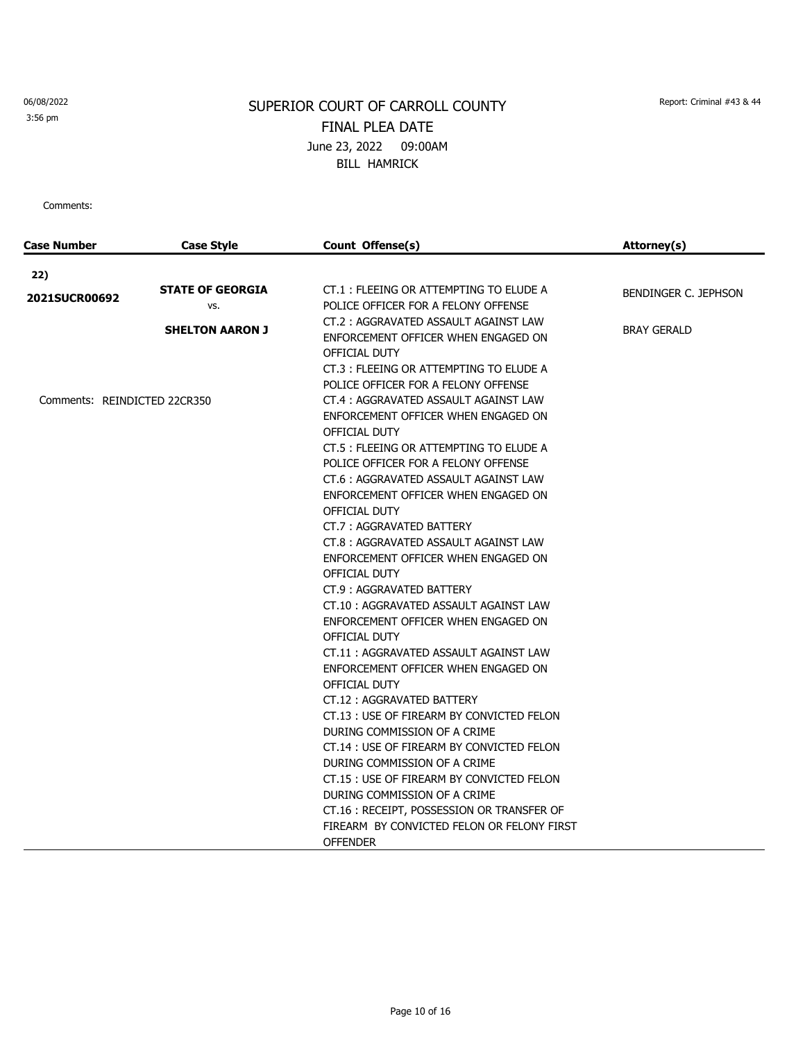3:56 pm

# SUPERIOR COURT OF CARROLL COUNTY Report: Criminal #43 & 44 FINAL PLEA DATE June 23, 2022 09:00AM BILL HAMRICK

| Case Number                  | <b>Case Style</b>              | Count Offense(s)                                                                                                       | Attorney(s)          |
|------------------------------|--------------------------------|------------------------------------------------------------------------------------------------------------------------|----------------------|
| 22)                          |                                |                                                                                                                        |                      |
| <b>2021SUCR00692</b>         | <b>STATE OF GEORGIA</b><br>VS. | CT.1 : FLEEING OR ATTEMPTING TO ELUDE A<br>POLICE OFFICER FOR A FELONY OFFENSE                                         | BENDINGER C. JEPHSON |
|                              | <b>SHELTON AARON J</b>         | CT.2: AGGRAVATED ASSAULT AGAINST LAW<br>ENFORCEMENT OFFICER WHEN ENGAGED ON<br>OFFICIAL DUTY                           | <b>BRAY GERALD</b>   |
|                              |                                | CT.3: FLEEING OR ATTEMPTING TO ELUDE A<br>POLICE OFFICER FOR A FELONY OFFENSE                                          |                      |
| Comments: REINDICTED 22CR350 |                                | CT.4: AGGRAVATED ASSAULT AGAINST LAW<br>ENFORCEMENT OFFICER WHEN ENGAGED ON<br>OFFICIAL DUTY                           |                      |
|                              |                                | CT.5 : FLEEING OR ATTEMPTING TO ELUDE A<br>POLICE OFFICER FOR A FELONY OFFENSE<br>CT.6: AGGRAVATED ASSAULT AGAINST LAW |                      |
|                              |                                | ENFORCEMENT OFFICER WHEN ENGAGED ON<br>OFFICIAL DUTY                                                                   |                      |
|                              |                                | CT.7: AGGRAVATED BATTERY<br>CT.8: AGGRAVATED ASSAULT AGAINST LAW<br>ENFORCEMENT OFFICER WHEN ENGAGED ON                |                      |
|                              |                                | OFFICIAL DUTY<br>CT.9: AGGRAVATED BATTERY                                                                              |                      |
|                              |                                | CT.10: AGGRAVATED ASSAULT AGAINST LAW<br>ENFORCEMENT OFFICER WHEN ENGAGED ON                                           |                      |
|                              |                                | OFFICIAL DUTY<br>CT.11: AGGRAVATED ASSAULT AGAINST LAW<br>ENFORCEMENT OFFICER WHEN ENGAGED ON                          |                      |
|                              |                                | OFFICIAL DUTY<br>CT.12: AGGRAVATED BATTERY                                                                             |                      |
|                              |                                | CT.13 : USE OF FIREARM BY CONVICTED FELON<br>DURING COMMISSION OF A CRIME                                              |                      |
|                              |                                | CT.14 : USE OF FIREARM BY CONVICTED FELON<br>DURING COMMISSION OF A CRIME<br>CT.15 : USE OF FIREARM BY CONVICTED FELON |                      |
|                              |                                | DURING COMMISSION OF A CRIME<br>CT.16: RECEIPT, POSSESSION OR TRANSFER OF                                              |                      |
|                              |                                | FIREARM BY CONVICTED FELON OR FELONY FIRST<br><b>OFFENDER</b>                                                          |                      |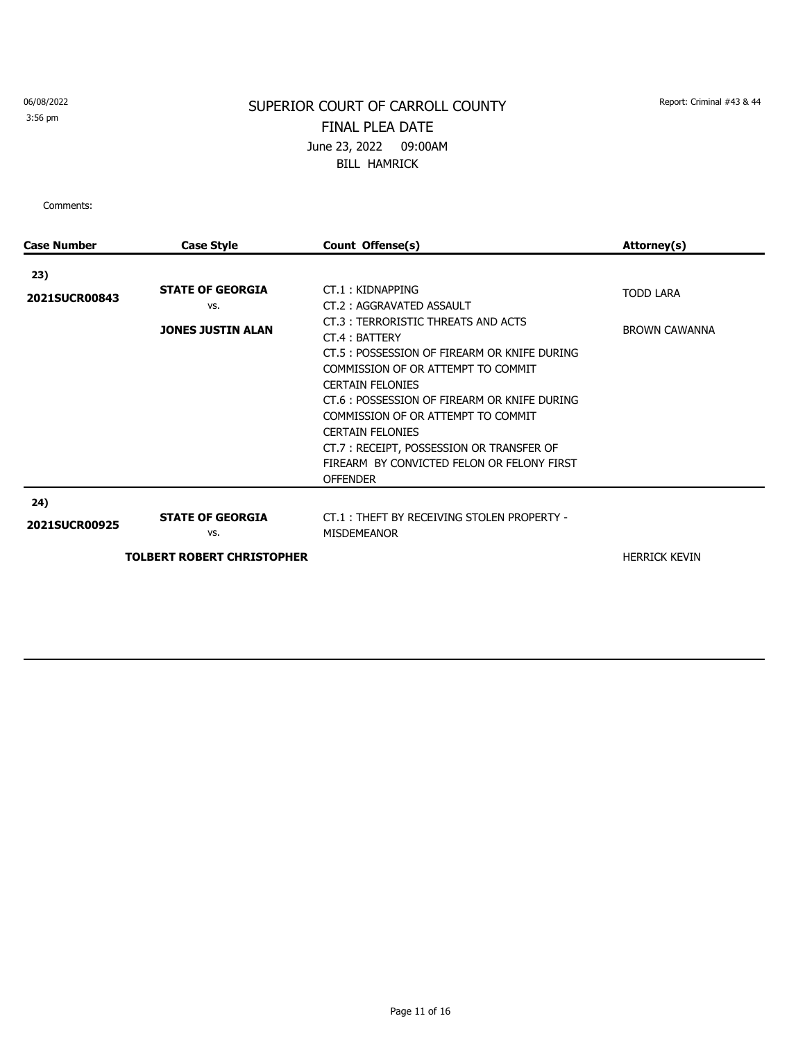3:56 pm

## SUPERIOR COURT OF CARROLL COUNTY Report: Criminal #43 & 44 FINAL PLEA DATE June 23, 2022 09:00AM BILL HAMRICK

| <b>Case Number</b>   | <b>Case Style</b>                                                   | Count Offense(s)                                                                                                                                                                                                                                                                                                                                                                                                                                   | Attorney(s)                              |
|----------------------|---------------------------------------------------------------------|----------------------------------------------------------------------------------------------------------------------------------------------------------------------------------------------------------------------------------------------------------------------------------------------------------------------------------------------------------------------------------------------------------------------------------------------------|------------------------------------------|
| 23)                  |                                                                     |                                                                                                                                                                                                                                                                                                                                                                                                                                                    |                                          |
| 2021SUCR00843        | <b>STATE OF GEORGIA</b><br>VS.<br><b>JONES JUSTIN ALAN</b>          | CT.1: KIDNAPPING<br>CT.2: AGGRAVATED ASSAULT<br>CT.3: TERRORISTIC THREATS AND ACTS<br>CT.4: BATTERY<br>CT.5 : POSSESSION OF FIREARM OR KNIFE DURING<br>COMMISSION OF OR ATTEMPT TO COMMIT<br><b>CERTAIN FELONIES</b><br>CT.6 : POSSESSION OF FIREARM OR KNIFE DURING<br>COMMISSION OF OR ATTEMPT TO COMMIT<br><b>CERTAIN FELONIES</b><br>CT.7: RECEIPT, POSSESSION OR TRANSFER OF<br>FIREARM BY CONVICTED FELON OR FELONY FIRST<br><b>OFFENDER</b> | <b>TODD LARA</b><br><b>BROWN CAWANNA</b> |
| 24)<br>2021SUCR00925 | <b>STATE OF GEORGIA</b><br>VS.<br><b>TOLBERT ROBERT CHRISTOPHER</b> | CT.1: THEFT BY RECEIVING STOLEN PROPERTY -<br><b>MISDEMEANOR</b>                                                                                                                                                                                                                                                                                                                                                                                   | <b>HERRICK KEVIN</b>                     |
|                      |                                                                     |                                                                                                                                                                                                                                                                                                                                                                                                                                                    |                                          |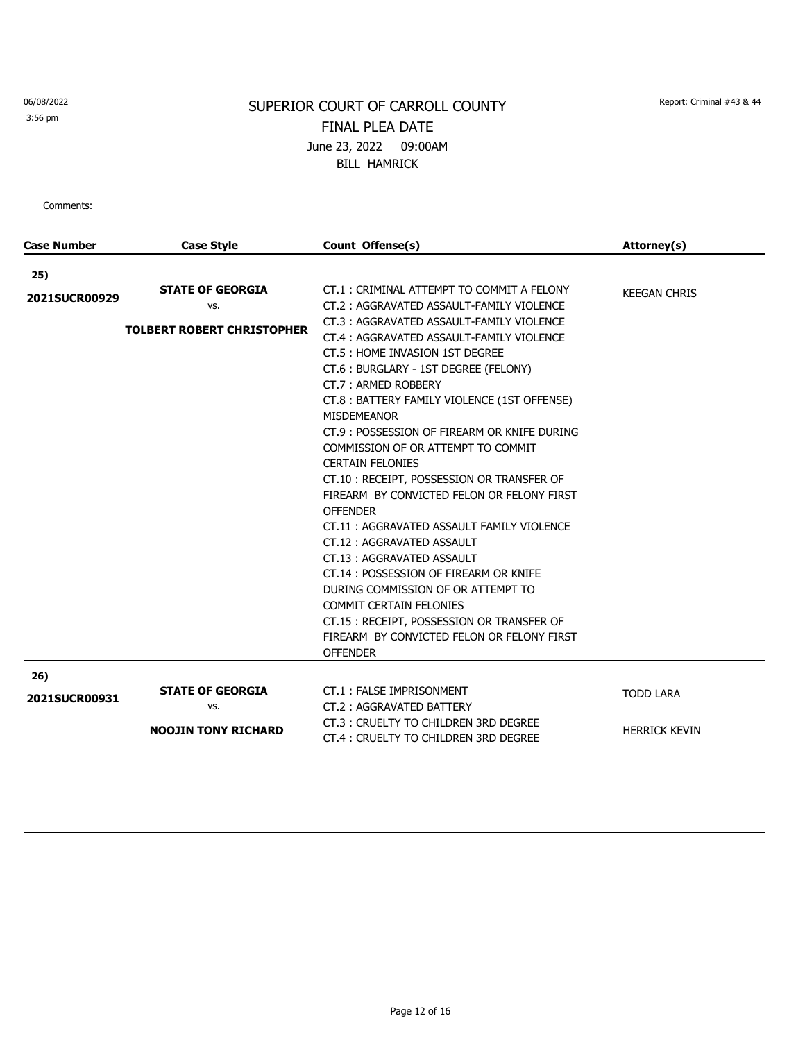3:56 pm

# SUPERIOR COURT OF CARROLL COUNTY Report: Criminal #43 & 44 FINAL PLEA DATE June 23, 2022 09:00AM BILL HAMRICK

| <b>Case Number</b>   | <b>Case Style</b>                                                   | Count Offense(s)                                                                                                                                                                                                                                                                                                                                                                                                                                                                                                                                                | Attorney(s)          |
|----------------------|---------------------------------------------------------------------|-----------------------------------------------------------------------------------------------------------------------------------------------------------------------------------------------------------------------------------------------------------------------------------------------------------------------------------------------------------------------------------------------------------------------------------------------------------------------------------------------------------------------------------------------------------------|----------------------|
| 25)                  |                                                                     |                                                                                                                                                                                                                                                                                                                                                                                                                                                                                                                                                                 |                      |
| 2021SUCR00929        | <b>STATE OF GEORGIA</b><br>VS.<br><b>TOLBERT ROBERT CHRISTOPHER</b> | CT.1: CRIMINAL ATTEMPT TO COMMIT A FELONY<br>CT.2: AGGRAVATED ASSAULT-FAMILY VIOLENCE<br>CT.3: AGGRAVATED ASSAULT-FAMILY VIOLENCE<br>CT.4: AGGRAVATED ASSAULT-FAMILY VIOLENCE<br>CT.5 : HOME INVASION 1ST DEGREE<br>CT.6: BURGLARY - 1ST DEGREE (FELONY)<br>CT.7: ARMED ROBBERY<br>CT.8: BATTERY FAMILY VIOLENCE (1ST OFFENSE)<br><b>MISDEMEANOR</b><br>CT.9: POSSESSION OF FIREARM OR KNIFE DURING<br>COMMISSION OF OR ATTEMPT TO COMMIT<br><b>CERTAIN FELONIES</b><br>CT.10: RECEIPT, POSSESSION OR TRANSFER OF<br>FIREARM BY CONVICTED FELON OR FELONY FIRST | <b>KEEGAN CHRIS</b>  |
|                      |                                                                     | <b>OFFENDER</b><br>CT.11: AGGRAVATED ASSAULT FAMILY VIOLENCE<br>CT.12: AGGRAVATED ASSAULT<br>CT.13: AGGRAVATED ASSAULT<br>CT.14: POSSESSION OF FIREARM OR KNIFE<br>DURING COMMISSION OF OR ATTEMPT TO<br><b>COMMIT CERTAIN FELONIES</b><br>CT.15: RECEIPT, POSSESSION OR TRANSFER OF<br>FIREARM BY CONVICTED FELON OR FELONY FIRST<br><b>OFFENDER</b>                                                                                                                                                                                                           |                      |
| 26)<br>2021SUCR00931 | <b>STATE OF GEORGIA</b>                                             | CT.1: FALSE IMPRISONMENT                                                                                                                                                                                                                                                                                                                                                                                                                                                                                                                                        | <b>TODD LARA</b>     |
|                      | VS.<br><b>NOOJIN TONY RICHARD</b>                                   | CT.2: AGGRAVATED BATTERY<br>CT.3: CRUELTY TO CHILDREN 3RD DEGREE<br>CT.4 : CRUELTY TO CHILDREN 3RD DEGREE                                                                                                                                                                                                                                                                                                                                                                                                                                                       | <b>HERRICK KEVIN</b> |
|                      |                                                                     |                                                                                                                                                                                                                                                                                                                                                                                                                                                                                                                                                                 |                      |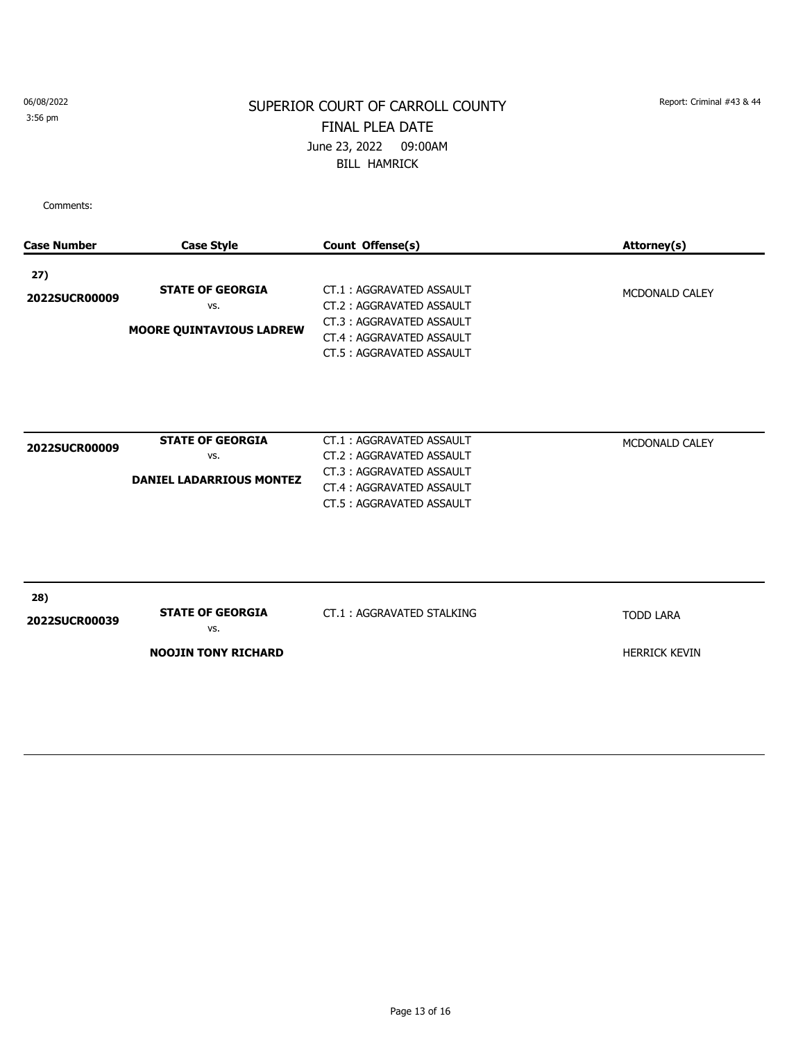3:56 pm

## SUPERIOR COURT OF CARROLL COUNTY Report: Criminal #43 & 44 FINAL PLEA DATE June 23, 2022 09:00AM BILL HAMRICK

| <b>Case Number</b>   | <b>Case Style</b>                                                 | Count Offense(s)                                                                                                                         | Attorney(s)                              |
|----------------------|-------------------------------------------------------------------|------------------------------------------------------------------------------------------------------------------------------------------|------------------------------------------|
| 27)<br>2022SUCR00009 | <b>STATE OF GEORGIA</b><br>VS.<br><b>MOORE QUINTAVIOUS LADREW</b> | CT.1: AGGRAVATED ASSAULT<br>CT.2: AGGRAVATED ASSAULT<br>CT.3: AGGRAVATED ASSAULT<br>CT.4: AGGRAVATED ASSAULT<br>CT.5: AGGRAVATED ASSAULT | MCDONALD CALEY                           |
| 2022SUCR00009        | <b>STATE OF GEORGIA</b><br>VS.<br><b>DANIEL LADARRIOUS MONTEZ</b> | CT.1: AGGRAVATED ASSAULT<br>CT.2: AGGRAVATED ASSAULT<br>CT.3: AGGRAVATED ASSAULT<br>CT.4: AGGRAVATED ASSAULT<br>CT.5: AGGRAVATED ASSAULT | MCDONALD CALEY                           |
| 28)<br>2022SUCR00039 | <b>STATE OF GEORGIA</b><br>VS.<br><b>NOOJIN TONY RICHARD</b>      | CT.1: AGGRAVATED STALKING                                                                                                                | <b>TODD LARA</b><br><b>HERRICK KEVIN</b> |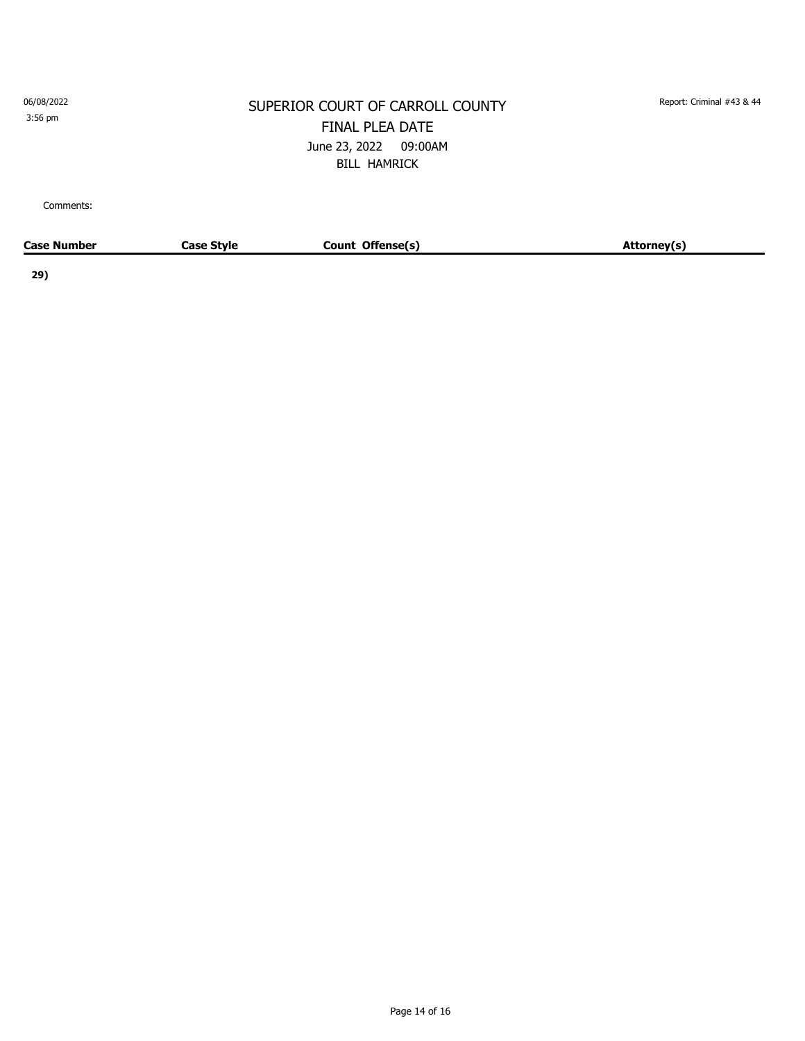3:56 pm

#### SUPERIOR COURT OF CARROLL COUNTY Report: Criminal #43 & 44 FINAL PLEA DATE June 23, 2022 09:00AM BILL HAMRICK

Comments:

| <b>Case Number</b> | Case Stvle | Count Offense(s) | Attorney(s) |
|--------------------|------------|------------------|-------------|
|                    |            |                  |             |

**29)**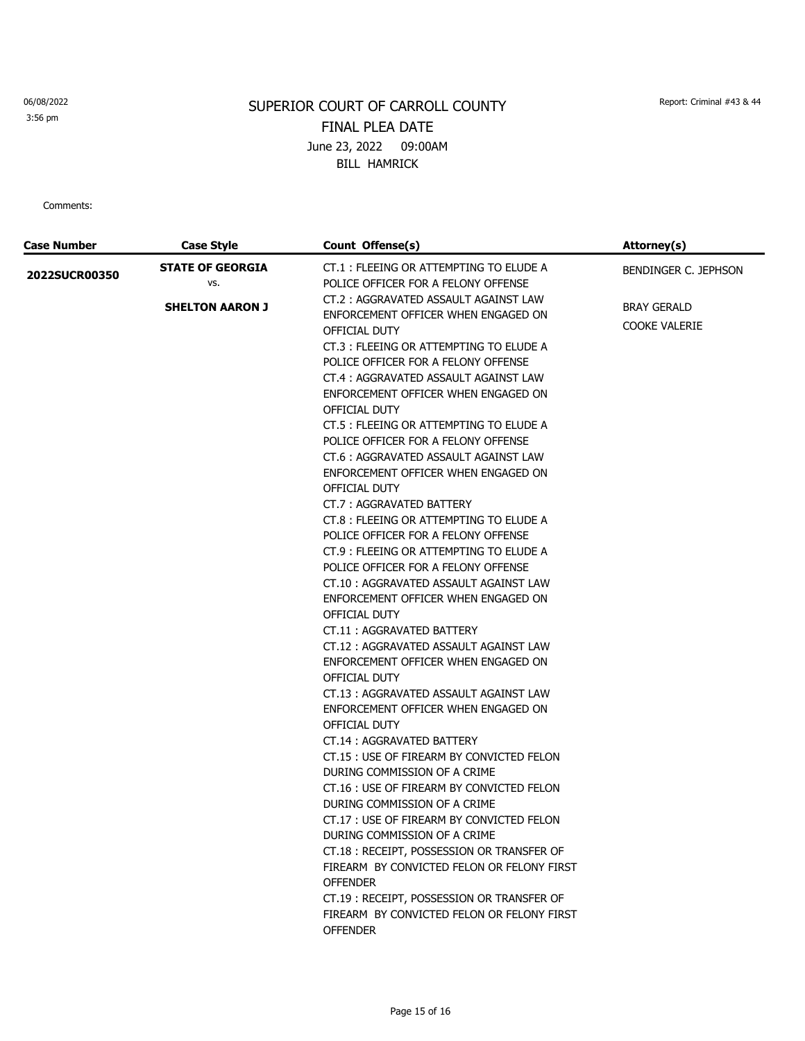3:56 pm

# SUPERIOR COURT OF CARROLL COUNTY Report: Criminal #43 & 44 FINAL PLEA DATE June 23, 2022 09:00AM BILL HAMRICK

| <b>Case Number</b>   | <b>Case Style</b>                                        | Count Offense(s)                                                                                                                                                                                                                                                                                                                                                                                                                                                                                                                                                                                                                                                                                                                                                                                                                                                                                                                                                                                                                                                                                                                                                                                                                                                            | Attorney(s)                                                 |
|----------------------|----------------------------------------------------------|-----------------------------------------------------------------------------------------------------------------------------------------------------------------------------------------------------------------------------------------------------------------------------------------------------------------------------------------------------------------------------------------------------------------------------------------------------------------------------------------------------------------------------------------------------------------------------------------------------------------------------------------------------------------------------------------------------------------------------------------------------------------------------------------------------------------------------------------------------------------------------------------------------------------------------------------------------------------------------------------------------------------------------------------------------------------------------------------------------------------------------------------------------------------------------------------------------------------------------------------------------------------------------|-------------------------------------------------------------|
| <b>2022SUCR00350</b> | <b>STATE OF GEORGIA</b><br>VS.<br><b>SHELTON AARON J</b> | CT.1 : FLEEING OR ATTEMPTING TO ELUDE A<br>POLICE OFFICER FOR A FELONY OFFENSE<br>CT.2: AGGRAVATED ASSAULT AGAINST LAW<br>ENFORCEMENT OFFICER WHEN ENGAGED ON<br>OFFICIAL DUTY<br>CT.3 : FLEEING OR ATTEMPTING TO ELUDE A<br>POLICE OFFICER FOR A FELONY OFFENSE<br>CT.4 : AGGRAVATED ASSAULT AGAINST LAW<br>ENFORCEMENT OFFICER WHEN ENGAGED ON<br>OFFICIAL DUTY<br>CT.5 : FLEEING OR ATTEMPTING TO ELUDE A<br>POLICE OFFICER FOR A FELONY OFFENSE<br>CT.6 : AGGRAVATED ASSAULT AGAINST LAW<br>ENFORCEMENT OFFICER WHEN ENGAGED ON<br>OFFICIAL DUTY<br>CT.7: AGGRAVATED BATTERY<br>CT.8 : FLEEING OR ATTEMPTING TO ELUDE A<br>POLICE OFFICER FOR A FELONY OFFENSE<br>CT.9 : FLEEING OR ATTEMPTING TO ELUDE A<br>POLICE OFFICER FOR A FELONY OFFENSE<br>CT.10: AGGRAVATED ASSAULT AGAINST LAW<br>ENFORCEMENT OFFICER WHEN ENGAGED ON<br>OFFICIAL DUTY<br>CT.11: AGGRAVATED BATTERY<br>CT.12: AGGRAVATED ASSAULT AGAINST LAW<br>ENFORCEMENT OFFICER WHEN ENGAGED ON<br>OFFICIAL DUTY<br>CT.13: AGGRAVATED ASSAULT AGAINST LAW<br>ENFORCEMENT OFFICER WHEN ENGAGED ON<br>OFFICIAL DUTY<br>CT.14: AGGRAVATED BATTERY<br>CT.15 : USE OF FIREARM BY CONVICTED FELON<br>DURING COMMISSION OF A CRIME<br>CT.16 : USE OF FIREARM BY CONVICTED FELON<br>DURING COMMISSION OF A CRIME | BENDINGER C. JEPHSON<br>BRAY GERALD<br><b>COOKE VALERIE</b> |
|                      |                                                          | CT.17 : USE OF FIREARM BY CONVICTED FELON<br>DURING COMMISSION OF A CRIME                                                                                                                                                                                                                                                                                                                                                                                                                                                                                                                                                                                                                                                                                                                                                                                                                                                                                                                                                                                                                                                                                                                                                                                                   |                                                             |
|                      |                                                          | CT.18: RECEIPT, POSSESSION OR TRANSFER OF<br>FIREARM BY CONVICTED FELON OR FELONY FIRST<br><b>OFFENDER</b><br>CT.19: RECEIPT, POSSESSION OR TRANSFER OF<br>FIREARM BY CONVICTED FELON OR FELONY FIRST<br><b>OFFENDER</b>                                                                                                                                                                                                                                                                                                                                                                                                                                                                                                                                                                                                                                                                                                                                                                                                                                                                                                                                                                                                                                                    |                                                             |